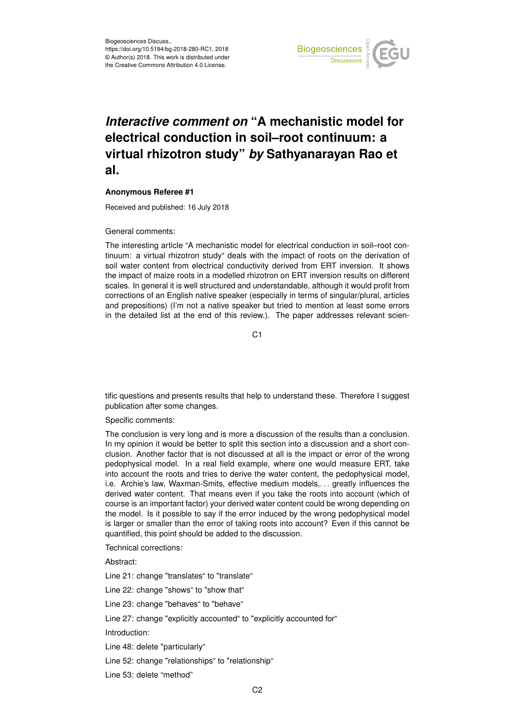

## *Interactive comment on* **"A mechanistic model for electrical conduction in soil–root continuum: a virtual rhizotron study"** *by* **Sathyanarayan Rao et al.**

## **Anonymous Referee #1**

Received and published: 16 July 2018

General comments:

The interesting article "A mechanistic model for electrical conduction in soil–root continuum: a virtual rhizotron study" deals with the impact of roots on the derivation of soil water content from electrical conductivity derived from ERT inversion. It shows the impact of maize roots in a modelled rhizotron on ERT inversion results on different scales. In general it is well structured and understandable, although it would profit from corrections of an English native speaker (especially in terms of singular/plural, articles and prepositions) (I'm not a native speaker but tried to mention at least some errors in the detailed list at the end of this review.). The paper addresses relevant scien-

C<sub>1</sub>

tific questions and presents results that help to understand these. Therefore I suggest publication after some changes.

Specific comments:

The conclusion is very long and is more a discussion of the results than a conclusion. In my opinion it would be better to split this section into a discussion and a short conclusion. Another factor that is not discussed at all is the impact or error of the wrong pedophysical model. In a real field example, where one would measure ERT, take into account the roots and tries to derive the water content, the pedophysical model, i.e. Archie's law, Waxman-Smits, effective medium models, ... greatly influences the derived water content. That means even if you take the roots into account (which of course is an important factor) your derived water content could be wrong depending on the model. Is it possible to say if the error induced by the wrong pedophysical model is larger or smaller than the error of taking roots into account? Even if this cannot be quantified, this point should be added to the discussion.

Technical corrections:

Abstract:

Line 21: change "translates" to "translate"

Line 22: change "shows" to "show that"

Line 23: change "behaves" to "behave"

Line 27: change "explicitly accounted" to "explicitly accounted for"

Introduction:

Line 48: delete "particularly"

Line 52: change "relationships" to "relationship"

Line 53: delete "method"